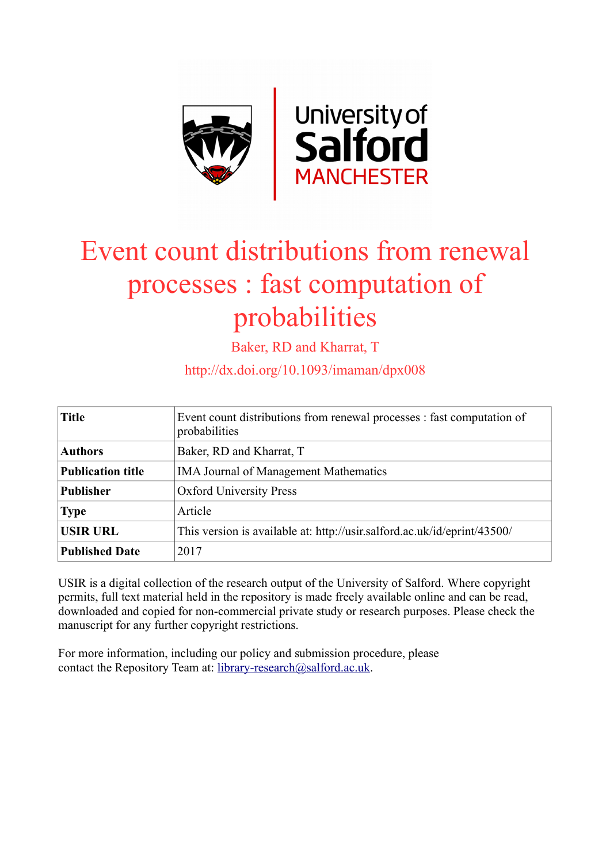

# Event count distributions from renewal processes : fast computation of probabilities

Baker, RD and Kharrat, T

http://dx.doi.org/10.1093/imaman/dpx008

| <b>Title</b>             | Event count distributions from renewal processes : fast computation of<br>probabilities |
|--------------------------|-----------------------------------------------------------------------------------------|
| <b>Authors</b>           | Baker, RD and Kharrat, T                                                                |
| <b>Publication title</b> | <b>IMA Journal of Management Mathematics</b>                                            |
| <b>Publisher</b>         | <b>Oxford University Press</b>                                                          |
| <b>Type</b>              | Article                                                                                 |
| <b>USIR URL</b>          | This version is available at: http://usir.salford.ac.uk/id/eprint/43500/                |
| <b>Published Date</b>    | 2017                                                                                    |

USIR is a digital collection of the research output of the University of Salford. Where copyright permits, full text material held in the repository is made freely available online and can be read, downloaded and copied for non-commercial private study or research purposes. Please check the manuscript for any further copyright restrictions.

For more information, including our policy and submission procedure, please contact the Repository Team at: [library-research@salford.ac.uk.](mailto:library-research@salford.ac.uk)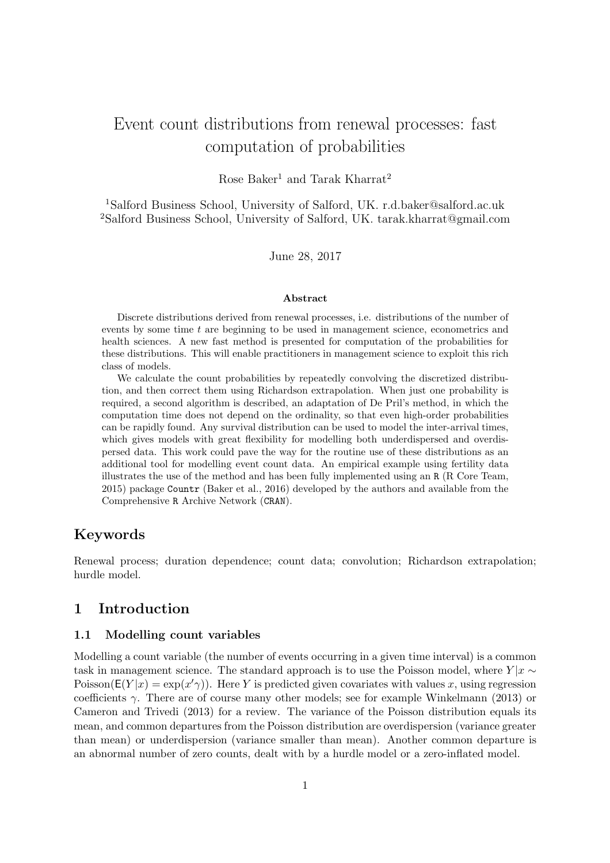# Event count distributions from renewal processes: fast computation of probabilities

Rose Baker<sup>1</sup> and Tarak Kharrat<sup>2</sup>

<sup>1</sup>Salford Business School, University of Salford, UK. r.d.baker@salford.ac.uk <sup>2</sup>Salford Business School, University of Salford, UK. tarak.kharrat@gmail.com

June 28, 2017

#### Abstract

Discrete distributions derived from renewal processes, i.e. distributions of the number of events by some time  $t$  are beginning to be used in management science, econometrics and health sciences. A new fast method is presented for computation of the probabilities for these distributions. This will enable practitioners in management science to exploit this rich class of models.

We calculate the count probabilities by repeatedly convolving the discretized distribution, and then correct them using Richardson extrapolation. When just one probability is required, a second algorithm is described, an adaptation of De Pril's method, in which the computation time does not depend on the ordinality, so that even high-order probabilities can be rapidly found. Any survival distribution can be used to model the inter-arrival times, which gives models with great flexibility for modelling both underdispersed and overdispersed data. This work could pave the way for the routine use of these distributions as an additional tool for modelling event count data. An empirical example using fertility data illustrates the use of the method and has been fully implemented using an R (R Core Team, 2015) package Countr (Baker et al., 2016) developed by the authors and available from the Comprehensive R Archive Network (CRAN).

# Keywords

Renewal process; duration dependence; count data; convolution; Richardson extrapolation; hurdle model.

# 1 Introduction

#### 1.1 Modelling count variables

Modelling a count variable (the number of events occurring in a given time interval) is a common task in management science. The standard approach is to use the Poisson model, where  $Y | x \sim$ Poisson( $E(Y|x) = \exp(x' \gamma)$ ). Here Y is predicted given covariates with values x, using regression coefficients  $\gamma$ . There are of course many other models; see for example Winkelmann (2013) or Cameron and Trivedi (2013) for a review. The variance of the Poisson distribution equals its mean, and common departures from the Poisson distribution are overdispersion (variance greater than mean) or underdispersion (variance smaller than mean). Another common departure is an abnormal number of zero counts, dealt with by a hurdle model or a zero-inflated model.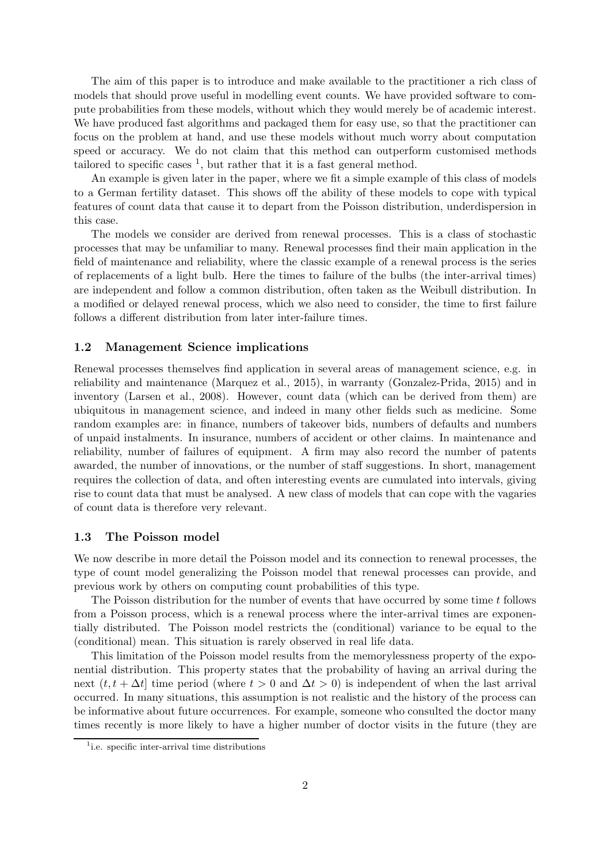The aim of this paper is to introduce and make available to the practitioner a rich class of models that should prove useful in modelling event counts. We have provided software to compute probabilities from these models, without which they would merely be of academic interest. We have produced fast algorithms and packaged them for easy use, so that the practitioner can focus on the problem at hand, and use these models without much worry about computation speed or accuracy. We do not claim that this method can outperform customised methods tailored to specific cases  $\frac{1}{1}$ , but rather that it is a fast general method.

An example is given later in the paper, where we fit a simple example of this class of models to a German fertility dataset. This shows off the ability of these models to cope with typical features of count data that cause it to depart from the Poisson distribution, underdispersion in this case.

The models we consider are derived from renewal processes. This is a class of stochastic processes that may be unfamiliar to many. Renewal processes find their main application in the field of maintenance and reliability, where the classic example of a renewal process is the series of replacements of a light bulb. Here the times to failure of the bulbs (the inter-arrival times) are independent and follow a common distribution, often taken as the Weibull distribution. In a modified or delayed renewal process, which we also need to consider, the time to first failure follows a different distribution from later inter-failure times.

#### 1.2 Management Science implications

Renewal processes themselves find application in several areas of management science, e.g. in reliability and maintenance (Marquez et al., 2015), in warranty (Gonzalez-Prida, 2015) and in inventory (Larsen et al., 2008). However, count data (which can be derived from them) are ubiquitous in management science, and indeed in many other fields such as medicine. Some random examples are: in finance, numbers of takeover bids, numbers of defaults and numbers of unpaid instalments. In insurance, numbers of accident or other claims. In maintenance and reliability, number of failures of equipment. A firm may also record the number of patents awarded, the number of innovations, or the number of staff suggestions. In short, management requires the collection of data, and often interesting events are cumulated into intervals, giving rise to count data that must be analysed. A new class of models that can cope with the vagaries of count data is therefore very relevant.

#### 1.3 The Poisson model

We now describe in more detail the Poisson model and its connection to renewal processes, the type of count model generalizing the Poisson model that renewal processes can provide, and previous work by others on computing count probabilities of this type.

The Poisson distribution for the number of events that have occurred by some time t follows from a Poisson process, which is a renewal process where the inter-arrival times are exponentially distributed. The Poisson model restricts the (conditional) variance to be equal to the (conditional) mean. This situation is rarely observed in real life data.

This limitation of the Poisson model results from the memorylessness property of the exponential distribution. This property states that the probability of having an arrival during the next  $(t, t + \Delta t)$  time period (where  $t > 0$  and  $\Delta t > 0$ ) is independent of when the last arrival occurred. In many situations, this assumption is not realistic and the history of the process can be informative about future occurrences. For example, someone who consulted the doctor many times recently is more likely to have a higher number of doctor visits in the future (they are

<sup>&</sup>lt;sup>1</sup>i.e. specific inter-arrival time distributions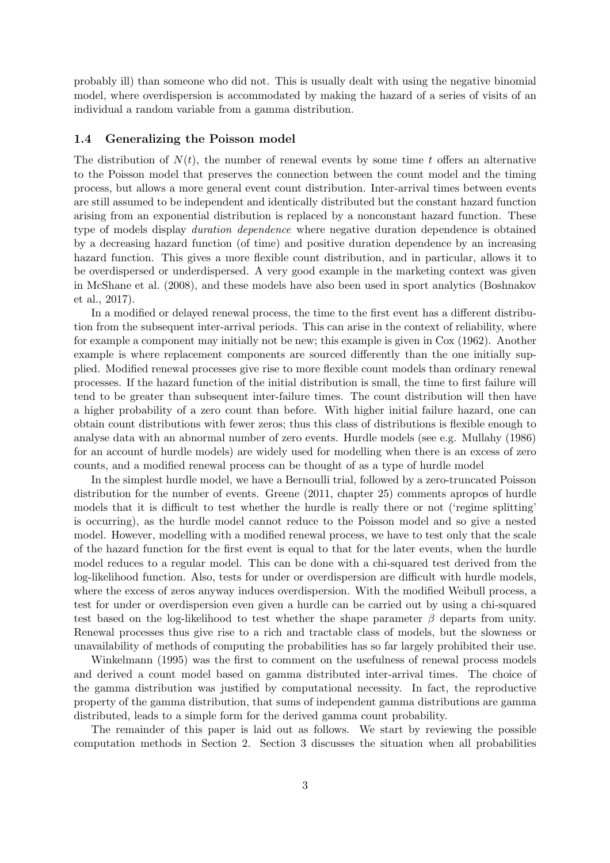probably ill) than someone who did not. This is usually dealt with using the negative binomial model, where overdispersion is accommodated by making the hazard of a series of visits of an individual a random variable from a gamma distribution.

#### 1.4 Generalizing the Poisson model

The distribution of  $N(t)$ , the number of renewal events by some time t offers an alternative to the Poisson model that preserves the connection between the count model and the timing process, but allows a more general event count distribution. Inter-arrival times between events are still assumed to be independent and identically distributed but the constant hazard function arising from an exponential distribution is replaced by a nonconstant hazard function. These type of models display *duration dependence* where negative duration dependence is obtained by a decreasing hazard function (of time) and positive duration dependence by an increasing hazard function. This gives a more flexible count distribution, and in particular, allows it to be overdispersed or underdispersed. A very good example in the marketing context was given in McShane et al. (2008), and these models have also been used in sport analytics (Boshnakov et al., 2017).

In a modified or delayed renewal process, the time to the first event has a different distribution from the subsequent inter-arrival periods. This can arise in the context of reliability, where for example a component may initially not be new; this example is given in Cox (1962). Another example is where replacement components are sourced differently than the one initially supplied. Modified renewal processes give rise to more flexible count models than ordinary renewal processes. If the hazard function of the initial distribution is small, the time to first failure will tend to be greater than subsequent inter-failure times. The count distribution will then have a higher probability of a zero count than before. With higher initial failure hazard, one can obtain count distributions with fewer zeros; thus this class of distributions is flexible enough to analyse data with an abnormal number of zero events. Hurdle models (see e.g. Mullahy (1986) for an account of hurdle models) are widely used for modelling when there is an excess of zero counts, and a modified renewal process can be thought of as a type of hurdle model

In the simplest hurdle model, we have a Bernoulli trial, followed by a zero-truncated Poisson distribution for the number of events. Greene (2011, chapter 25) comments apropos of hurdle models that it is difficult to test whether the hurdle is really there or not ('regime splitting' is occurring), as the hurdle model cannot reduce to the Poisson model and so give a nested model. However, modelling with a modified renewal process, we have to test only that the scale of the hazard function for the first event is equal to that for the later events, when the hurdle model reduces to a regular model. This can be done with a chi-squared test derived from the log-likelihood function. Also, tests for under or overdispersion are difficult with hurdle models, where the excess of zeros anyway induces overdispersion. With the modified Weibull process, a test for under or overdispersion even given a hurdle can be carried out by using a chi-squared test based on the log-likelihood to test whether the shape parameter  $\beta$  departs from unity. Renewal processes thus give rise to a rich and tractable class of models, but the slowness or unavailability of methods of computing the probabilities has so far largely prohibited their use.

Winkelmann (1995) was the first to comment on the usefulness of renewal process models and derived a count model based on gamma distributed inter-arrival times. The choice of the gamma distribution was justified by computational necessity. In fact, the reproductive property of the gamma distribution, that sums of independent gamma distributions are gamma distributed, leads to a simple form for the derived gamma count probability.

The remainder of this paper is laid out as follows. We start by reviewing the possible computation methods in Section 2. Section 3 discusses the situation when all probabilities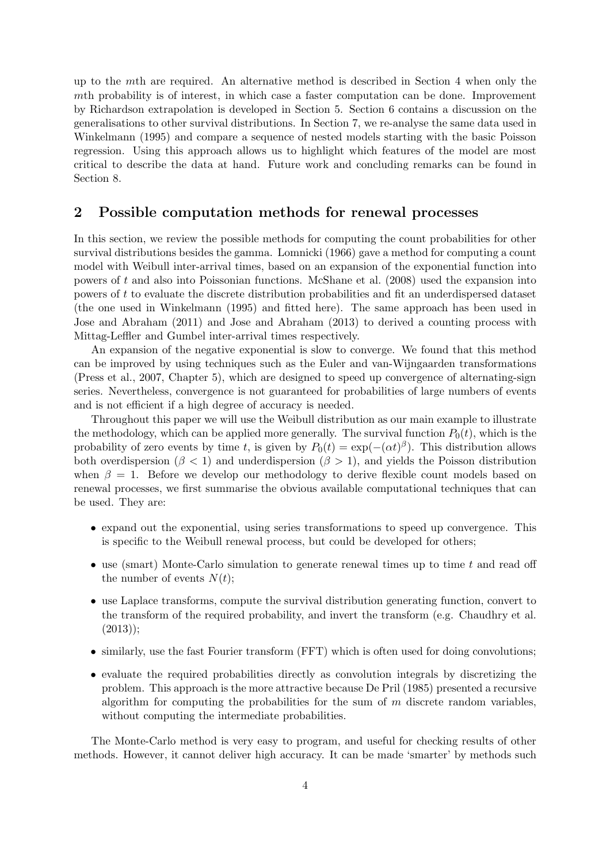up to the mth are required. An alternative method is described in Section 4 when only the mth probability is of interest, in which case a faster computation can be done. Improvement by Richardson extrapolation is developed in Section 5. Section 6 contains a discussion on the generalisations to other survival distributions. In Section 7, we re-analyse the same data used in Winkelmann (1995) and compare a sequence of nested models starting with the basic Poisson regression. Using this approach allows us to highlight which features of the model are most critical to describe the data at hand. Future work and concluding remarks can be found in Section 8.

# 2 Possible computation methods for renewal processes

In this section, we review the possible methods for computing the count probabilities for other survival distributions besides the gamma. Lomnicki (1966) gave a method for computing a count model with Weibull inter-arrival times, based on an expansion of the exponential function into powers of t and also into Poissonian functions. McShane et al. (2008) used the expansion into powers of t to evaluate the discrete distribution probabilities and fit an underdispersed dataset (the one used in Winkelmann (1995) and fitted here). The same approach has been used in Jose and Abraham (2011) and Jose and Abraham (2013) to derived a counting process with Mittag-Leffler and Gumbel inter-arrival times respectively.

An expansion of the negative exponential is slow to converge. We found that this method can be improved by using techniques such as the Euler and van-Wijngaarden transformations (Press et al., 2007, Chapter 5), which are designed to speed up convergence of alternating-sign series. Nevertheless, convergence is not guaranteed for probabilities of large numbers of events and is not efficient if a high degree of accuracy is needed.

Throughout this paper we will use the Weibull distribution as our main example to illustrate the methodology, which can be applied more generally. The survival function  $P_0(t)$ , which is the probability of zero events by time t, is given by  $P_0(t) = \exp(-(\alpha t)^{\beta})$ . This distribution allows both overdispersion ( $\beta$  < 1) and underdispersion ( $\beta$  > 1), and yields the Poisson distribution when  $\beta = 1$ . Before we develop our methodology to derive flexible count models based on renewal processes, we first summarise the obvious available computational techniques that can be used. They are:

- expand out the exponential, using series transformations to speed up convergence. This is specific to the Weibull renewal process, but could be developed for others;
- use (smart) Monte-Carlo simulation to generate renewal times up to time t and read off the number of events  $N(t)$ ;
- use Laplace transforms, compute the survival distribution generating function, convert to the transform of the required probability, and invert the transform (e.g. Chaudhry et al.  $(2013)$ ;
- similarly, use the fast Fourier transform (FFT) which is often used for doing convolutions;
- evaluate the required probabilities directly as convolution integrals by discretizing the problem. This approach is the more attractive because De Pril (1985) presented a recursive algorithm for computing the probabilities for the sum of  $m$  discrete random variables. without computing the intermediate probabilities.

The Monte-Carlo method is very easy to program, and useful for checking results of other methods. However, it cannot deliver high accuracy. It can be made 'smarter' by methods such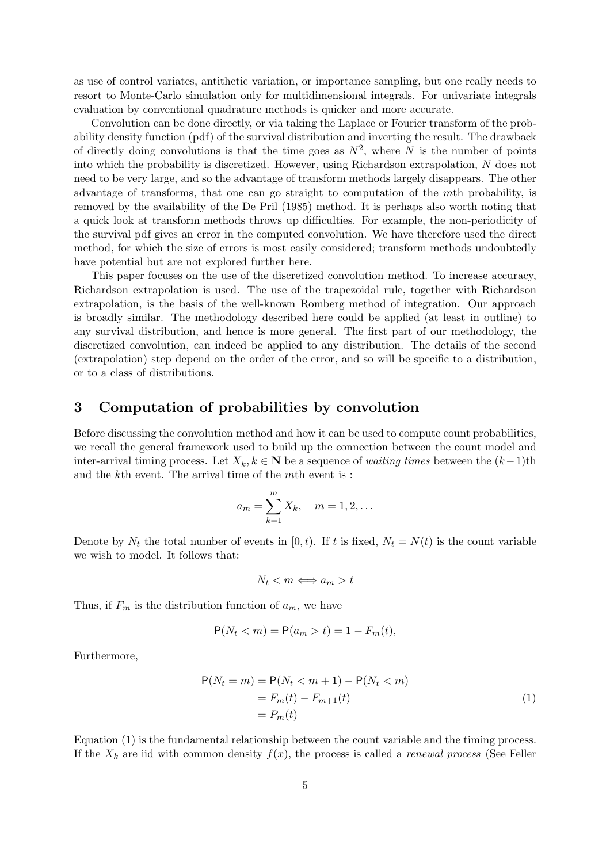as use of control variates, antithetic variation, or importance sampling, but one really needs to resort to Monte-Carlo simulation only for multidimensional integrals. For univariate integrals evaluation by conventional quadrature methods is quicker and more accurate.

Convolution can be done directly, or via taking the Laplace or Fourier transform of the probability density function (pdf) of the survival distribution and inverting the result. The drawback of directly doing convolutions is that the time goes as  $N^2$ , where N is the number of points into which the probability is discretized. However, using Richardson extrapolation, N does not need to be very large, and so the advantage of transform methods largely disappears. The other advantage of transforms, that one can go straight to computation of the mth probability, is removed by the availability of the De Pril (1985) method. It is perhaps also worth noting that a quick look at transform methods throws up difficulties. For example, the non-periodicity of the survival pdf gives an error in the computed convolution. We have therefore used the direct method, for which the size of errors is most easily considered; transform methods undoubtedly have potential but are not explored further here.

This paper focuses on the use of the discretized convolution method. To increase accuracy, Richardson extrapolation is used. The use of the trapezoidal rule, together with Richardson extrapolation, is the basis of the well-known Romberg method of integration. Our approach is broadly similar. The methodology described here could be applied (at least in outline) to any survival distribution, and hence is more general. The first part of our methodology, the discretized convolution, can indeed be applied to any distribution. The details of the second (extrapolation) step depend on the order of the error, and so will be specific to a distribution, or to a class of distributions.

#### 3 Computation of probabilities by convolution

Before discussing the convolution method and how it can be used to compute count probabilities, we recall the general framework used to build up the connection between the count model and inter-arrival timing process. Let  $X_k, k \in \mathbf{N}$  be a sequence of *waiting times* between the  $(k-1)$ th and the kth event. The arrival time of the mth event is :

$$
a_m = \sum_{k=1}^m X_k
$$
,  $m = 1, 2, ...$ 

Denote by  $N_t$  the total number of events in [0, t). If t is fixed,  $N_t = N(t)$  is the count variable we wish to model. It follows that:

$$
N_t < m \Longleftrightarrow a_m > t
$$

Thus, if  $F_m$  is the distribution function of  $a_m$ , we have

$$
P(N_t < m) = P(a_m > t) = 1 - F_m(t),
$$

Furthermore,

$$
P(Nt = m) = P(Nt < m + 1) - P(Nt < m)
$$
  
= F<sub>m</sub>(t) - F<sub>m+1</sub>(t)  
= P<sub>m</sub>(t) (1)

Equation (1) is the fundamental relationship between the count variable and the timing process. If the  $X_k$  are iid with common density  $f(x)$ , the process is called a *renewal process* (See Feller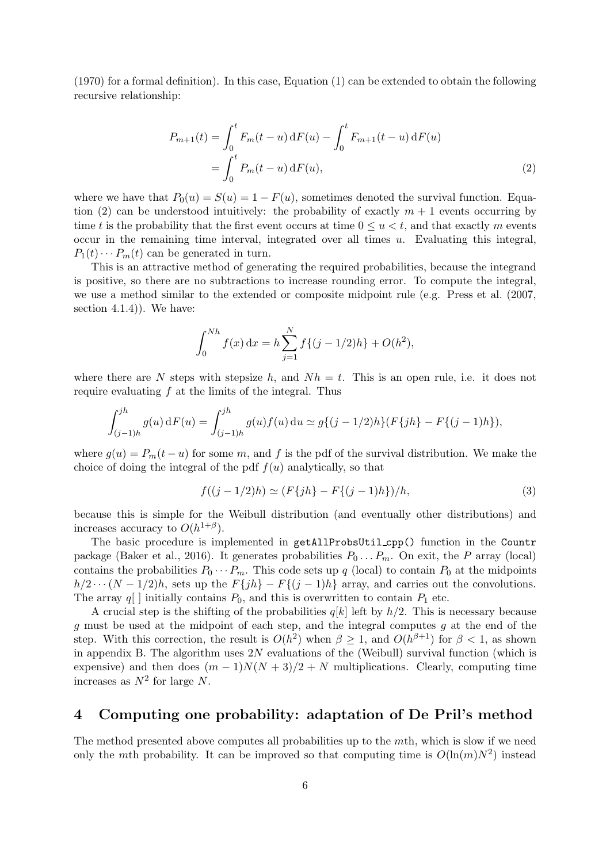(1970) for a formal definition). In this case, Equation (1) can be extended to obtain the following recursive relationship:

$$
P_{m+1}(t) = \int_0^t F_m(t-u) dF(u) - \int_0^t F_{m+1}(t-u) dF(u)
$$
  
= 
$$
\int_0^t P_m(t-u) dF(u),
$$
 (2)

where we have that  $P_0(u) = S(u) = 1 - F(u)$ , sometimes denoted the survival function. Equation (2) can be understood intuitively: the probability of exactly  $m + 1$  events occurring by time t is the probability that the first event occurs at time  $0 \le u \le t$ , and that exactly m events occur in the remaining time interval, integrated over all times u. Evaluating this integral,  $P_1(t)\cdots P_m(t)$  can be generated in turn.

This is an attractive method of generating the required probabilities, because the integrand is positive, so there are no subtractions to increase rounding error. To compute the integral, we use a method similar to the extended or composite midpoint rule (e.g. Press et al. (2007, section  $4.1.4$ ). We have:

$$
\int_0^{Nh} f(x) dx = h \sum_{j=1}^N f\{(j - 1/2)h\} + O(h^2),
$$

where there are N steps with stepsize h, and  $Nh = t$ . This is an open rule, i.e. it does not require evaluating  $f$  at the limits of the integral. Thus

$$
\int_{(j-1)h}^{jh} g(u) dF(u) = \int_{(j-1)h}^{jh} g(u) f(u) du \simeq g\{(j-1/2)h\} (F\{jh\} - F\{(j-1)h\}),
$$

where  $g(u) = P_m(t - u)$  for some m, and f is the pdf of the survival distribution. We make the choice of doing the integral of the pdf  $f(u)$  analytically, so that

$$
f((j-1/2)h) \simeq (F\{jh\} - F\{(j-1)h\})/h, \tag{3}
$$

because this is simple for the Weibull distribution (and eventually other distributions) and increases accuracy to  $O(h^{1+\beta})$ .

The basic procedure is implemented in getAllProbsUtil\_cpp() function in the Countr package (Baker et al., 2016). It generates probabilities  $P_0 \dots P_m$ . On exit, the P array (local) contains the probabilities  $P_0 \cdots P_m$ . This code sets up q (local) to contain  $P_0$  at the midpoints  $h/2 \cdots (N-1/2)h$ , sets up the  $F\{jh\} - F\{(j-1)h\}$  array, and carries out the convolutions. The array  $q[$  ] initially contains  $P_0$ , and this is overwritten to contain  $P_1$  etc.

A crucial step is the shifting of the probabilities  $q[k]$  left by  $h/2$ . This is necessary because g must be used at the midpoint of each step, and the integral computes g at the end of the step. With this correction, the result is  $O(h^2)$  when  $\beta \geq 1$ , and  $O(h^{\beta+1})$  for  $\beta < 1$ , as shown in appendix B. The algorithm uses  $2N$  evaluations of the (Weibull) survival function (which is expensive) and then does  $(m-1)N(N+3)/2 + N$  multiplications. Clearly, computing time increases as  $N^2$  for large N.

## 4 Computing one probability: adaptation of De Pril's method

The method presented above computes all probabilities up to the mth, which is slow if we need only the mth probability. It can be improved so that computing time is  $O(\ln(m)N^2)$  instead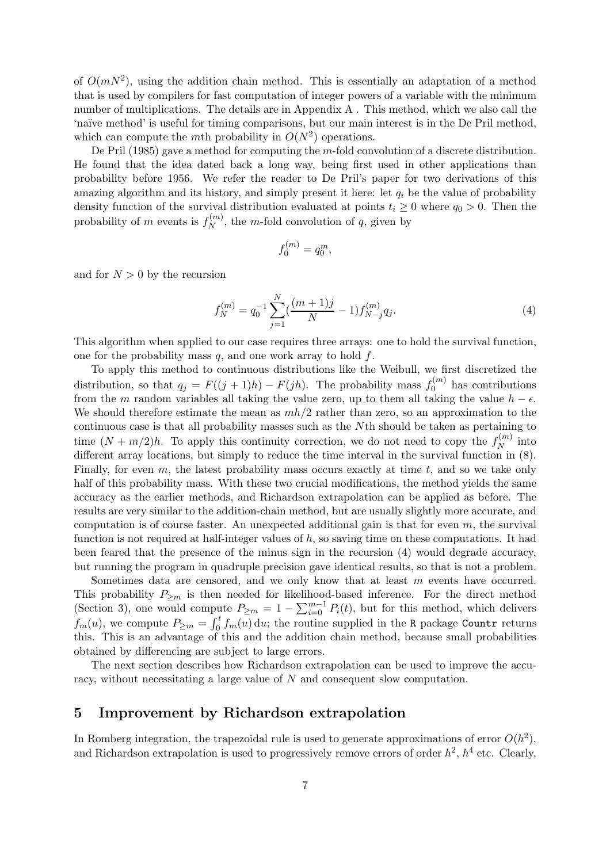of  $O(mN^2)$ , using the addition chain method. This is essentially an adaptation of a method that is used by compilers for fast computation of integer powers of a variable with the minimum number of multiplications. The details are in Appendix A . This method, which we also call the 'na¨ıve method' is useful for timing comparisons, but our main interest is in the De Pril method, which can compute the mth probability in  $O(N^2)$  operations.

De Pril (1985) gave a method for computing the m-fold convolution of a discrete distribution. He found that the idea dated back a long way, being first used in other applications than probability before 1956. We refer the reader to De Pril's paper for two derivations of this amazing algorithm and its history, and simply present it here: let  $q_i$  be the value of probability density function of the survival distribution evaluated at points  $t_i \geq 0$  where  $q_0 > 0$ . Then the probability of m events is  $f_N^{(m)}$  $N^{(m)}$ , the *m*-fold convolution of *q*, given by

$$
f_0^{(m)} = q_0^m,
$$

and for  $N > 0$  by the recursion

$$
f_N^{(m)} = q_0^{-1} \sum_{j=1}^N \left(\frac{(m+1)j}{N} - 1\right) f_{N-j}^{(m)} q_j. \tag{4}
$$

This algorithm when applied to our case requires three arrays: one to hold the survival function, one for the probability mass  $q$ , and one work array to hold  $f$ .

To apply this method to continuous distributions like the Weibull, we first discretized the distribution, so that  $q_j = F((j + 1)h) - F(jh)$ . The probability mass  $f_0^{(m)}$  $\binom{0}{0}$  has contributions from the m random variables all taking the value zero, up to them all taking the value  $h - \epsilon$ . We should therefore estimate the mean as  $mh/2$  rather than zero, so an approximation to the continuous case is that all probability masses such as the Nth should be taken as pertaining to time  $(N+m/2)h$ . To apply this continuity correction, we do not need to copy the  $f_N^{(m)}$  $\mathbb{R}^{(m)}$  into different array locations, but simply to reduce the time interval in the survival function in (8). Finally, for even  $m$ , the latest probability mass occurs exactly at time  $t$ , and so we take only half of this probability mass. With these two crucial modifications, the method yields the same accuracy as the earlier methods, and Richardson extrapolation can be applied as before. The results are very similar to the addition-chain method, but are usually slightly more accurate, and computation is of course faster. An unexpected additional gain is that for even  $m$ , the survival function is not required at half-integer values of  $h$ , so saving time on these computations. It had been feared that the presence of the minus sign in the recursion (4) would degrade accuracy, but running the program in quadruple precision gave identical results, so that is not a problem.

Sometimes data are censored, and we only know that at least m events have occurred. This probability  $P_{\geq m}$  is then needed for likelihood-based inference. For the direct method (Section 3), one would compute  $P_{\geq m} = 1 - \sum_{i=0}^{m-1} P_i(t)$ , but for this method, which delivers  $f_m(u)$ , we compute  $P_{\geq m} = \int_0^t f_m(u) \, du$ ; the routine supplied in the R package Countr returns this. This is an advantage of this and the addition chain method, because small probabilities obtained by differencing are subject to large errors.

The next section describes how Richardson extrapolation can be used to improve the accuracy, without necessitating a large value of N and consequent slow computation.

## 5 Improvement by Richardson extrapolation

In Romberg integration, the trapezoidal rule is used to generate approximations of error  $O(h^2)$ , and Richardson extrapolation is used to progressively remove errors of order  $h^2$ ,  $h^4$  etc. Clearly,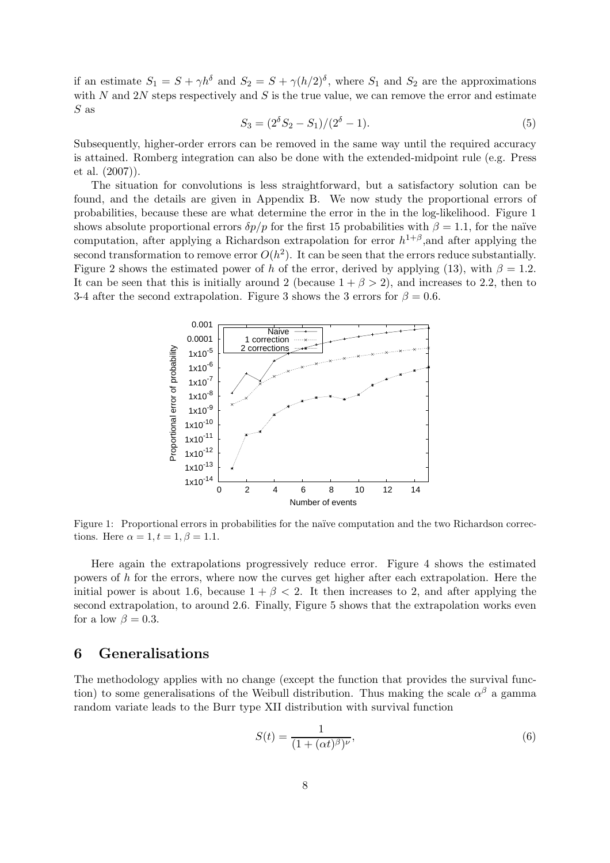if an estimate  $S_1 = S + \gamma h^{\delta}$  and  $S_2 = S + \gamma (h/2)^{\delta}$ , where  $S_1$  and  $S_2$  are the approximations with  $N$  and  $2N$  steps respectively and  $S$  is the true value, we can remove the error and estimate S as

$$
S_3 = (2^{\delta} S_2 - S_1)/(2^{\delta} - 1). \tag{5}
$$

Subsequently, higher-order errors can be removed in the same way until the required accuracy is attained. Romberg integration can also be done with the extended-midpoint rule (e.g. Press et al. (2007)).

The situation for convolutions is less straightforward, but a satisfactory solution can be found, and the details are given in Appendix B. We now study the proportional errors of probabilities, because these are what determine the error in the in the log-likelihood. Figure 1 shows absolute proportional errors  $\delta p/p$  for the first 15 probabilities with  $\beta = 1.1$ , for the naïve computation, after applying a Richardson extrapolation for error  $h^{1+\beta}$ , and after applying the second transformation to remove error  $O(h^2)$ . It can be seen that the errors reduce substantially. Figure 2 shows the estimated power of h of the error, derived by applying (13), with  $\beta = 1.2$ . It can be seen that this is initially around 2 (because  $1 + \beta > 2$ ), and increases to 2.2, then to 3-4 after the second extrapolation. Figure 3 shows the 3 errors for  $\beta = 0.6$ .



Figure 1: Proportional errors in probabilities for the naïve computation and the two Richardson corrections. Here  $\alpha = 1, t = 1, \beta = 1.1$ .

Here again the extrapolations progressively reduce error. Figure 4 shows the estimated powers of  $h$  for the errors, where now the curves get higher after each extrapolation. Here the initial power is about 1.6, because  $1 + \beta < 2$ . It then increases to 2, and after applying the second extrapolation, to around 2.6. Finally, Figure 5 shows that the extrapolation works even for a low  $\beta = 0.3$ .

#### 6 Generalisations

The methodology applies with no change (except the function that provides the survival function) to some generalisations of the Weibull distribution. Thus making the scale  $\alpha^{\beta}$  a gamma random variate leads to the Burr type XII distribution with survival function

$$
S(t) = \frac{1}{(1 + (\alpha t)^{\beta})^{\nu}},\tag{6}
$$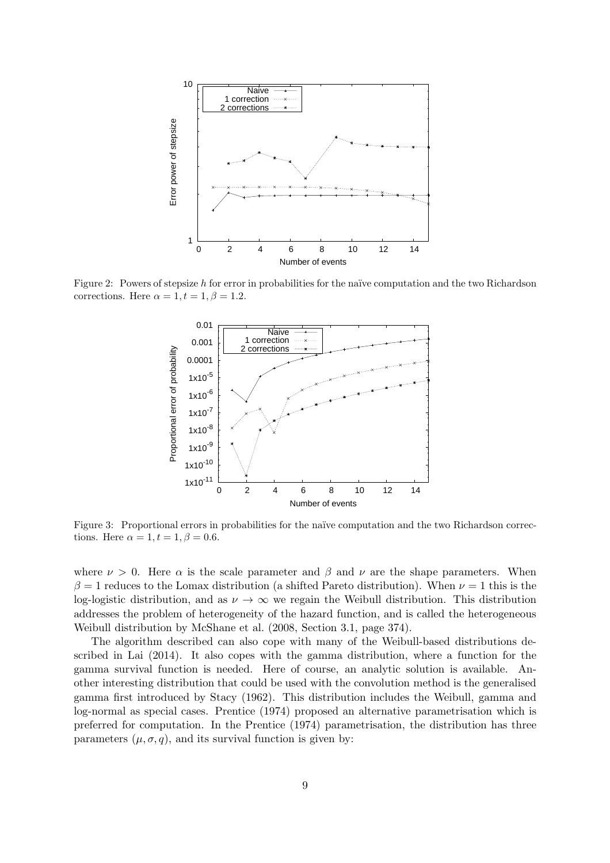

Figure 2: Powers of stepsize h for error in probabilities for the naïve computation and the two Richardson corrections. Here  $\alpha = 1, t = 1, \beta = 1.2$ .



Figure 3: Proportional errors in probabilities for the naïve computation and the two Richardson corrections. Here  $\alpha = 1, t = 1, \beta = 0.6$ .

where  $\nu > 0$ . Here  $\alpha$  is the scale parameter and  $\beta$  and  $\nu$  are the shape parameters. When  $\beta = 1$  reduces to the Lomax distribution (a shifted Pareto distribution). When  $\nu = 1$  this is the log-logistic distribution, and as  $\nu \to \infty$  we regain the Weibull distribution. This distribution addresses the problem of heterogeneity of the hazard function, and is called the heterogeneous Weibull distribution by McShane et al. (2008, Section 3.1, page 374).

The algorithm described can also cope with many of the Weibull-based distributions described in Lai (2014). It also copes with the gamma distribution, where a function for the gamma survival function is needed. Here of course, an analytic solution is available. Another interesting distribution that could be used with the convolution method is the generalised gamma first introduced by Stacy (1962). This distribution includes the Weibull, gamma and log-normal as special cases. Prentice (1974) proposed an alternative parametrisation which is preferred for computation. In the Prentice (1974) parametrisation, the distribution has three parameters  $(\mu, \sigma, q)$ , and its survival function is given by: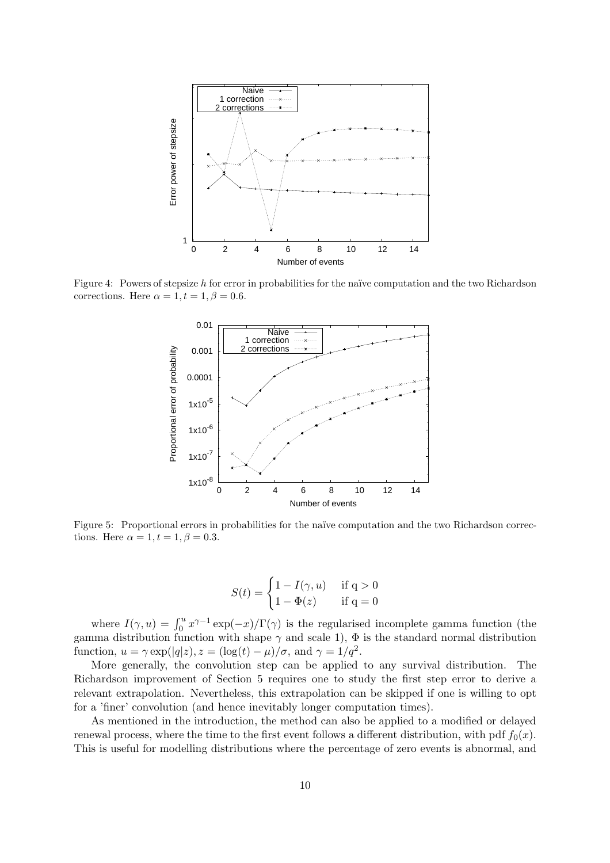

Figure 4: Powers of stepsize h for error in probabilities for the naïve computation and the two Richardson corrections. Here  $\alpha = 1, t = 1, \beta = 0.6$ .



Figure 5: Proportional errors in probabilities for the naïve computation and the two Richardson corrections. Here  $\alpha = 1, t = 1, \beta = 0.3$ .

$$
S(t) = \begin{cases} 1 - I(\gamma, u) & \text{if } q > 0 \\ 1 - \Phi(z) & \text{if } q = 0 \end{cases}
$$

where  $I(\gamma, u) = \int_0^u x^{\gamma - 1} \exp(-x) / \Gamma(\gamma)$  is the regularised incomplete gamma function (the gamma distribution function with shape  $\gamma$  and scale 1),  $\Phi$  is the standard normal distribution function,  $u = \gamma \exp(|q|z)$ ,  $z = (\log(t) - \mu)/\sigma$ , and  $\gamma = 1/q^2$ .

More generally, the convolution step can be applied to any survival distribution. The Richardson improvement of Section 5 requires one to study the first step error to derive a relevant extrapolation. Nevertheless, this extrapolation can be skipped if one is willing to opt for a 'finer' convolution (and hence inevitably longer computation times).

As mentioned in the introduction, the method can also be applied to a modified or delayed renewal process, where the time to the first event follows a different distribution, with pdf  $f_0(x)$ . This is useful for modelling distributions where the percentage of zero events is abnormal, and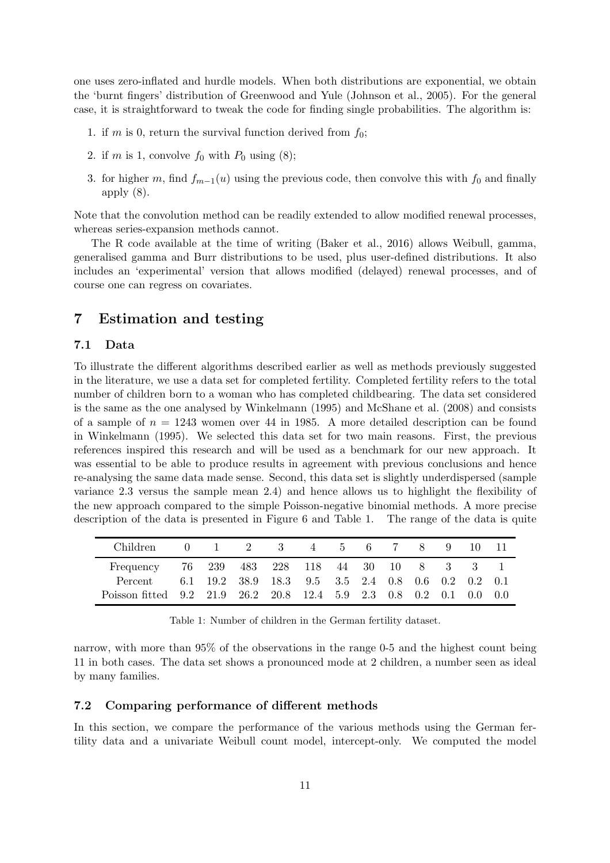one uses zero-inflated and hurdle models. When both distributions are exponential, we obtain the 'burnt fingers' distribution of Greenwood and Yule (Johnson et al., 2005). For the general case, it is straightforward to tweak the code for finding single probabilities. The algorithm is:

- 1. if m is 0, return the survival function derived from  $f_0$ ;
- 2. if m is 1, convolve  $f_0$  with  $P_0$  using  $(8)$ ;
- 3. for higher m, find  $f_{m-1}(u)$  using the previous code, then convolve this with  $f_0$  and finally apply (8).

Note that the convolution method can be readily extended to allow modified renewal processes, whereas series-expansion methods cannot.

The R code available at the time of writing (Baker et al., 2016) allows Weibull, gamma, generalised gamma and Burr distributions to be used, plus user-defined distributions. It also includes an 'experimental' version that allows modified (delayed) renewal processes, and of course one can regress on covariates.

# 7 Estimation and testing

#### 7.1 Data

To illustrate the different algorithms described earlier as well as methods previously suggested in the literature, we use a data set for completed fertility. Completed fertility refers to the total number of children born to a woman who has completed childbearing. The data set considered is the same as the one analysed by Winkelmann (1995) and McShane et al. (2008) and consists of a sample of  $n = 1243$  women over 44 in 1985. A more detailed description can be found in Winkelmann (1995). We selected this data set for two main reasons. First, the previous references inspired this research and will be used as a benchmark for our new approach. It was essential to be able to produce results in agreement with previous conclusions and hence re-analysing the same data made sense. Second, this data set is slightly underdispersed (sample variance 2.3 versus the sample mean 2.4) and hence allows us to highlight the flexibility of the new approach compared to the simple Poisson-negative binomial methods. A more precise description of the data is presented in Figure 6 and Table 1. The range of the data is quite

| Children                                                           | $\mathbf{0}$ | 1 2 3                                              |  |  | 4 5 6 7 8 | 9 | 10 11 |  |
|--------------------------------------------------------------------|--------------|----------------------------------------------------|--|--|-----------|---|-------|--|
| Frequency 76 239 483 228 118 44 30 10 8 3 3 1                      |              |                                                    |  |  |           |   |       |  |
| Percent                                                            |              | 6.1 19.2 38.9 18.3 9.5 3.5 2.4 0.8 0.6 0.2 0.2 0.1 |  |  |           |   |       |  |
| Poisson fitted 9.2 21.9 26.2 20.8 12.4 5.9 2.3 0.8 0.2 0.1 0.0 0.0 |              |                                                    |  |  |           |   |       |  |

Table 1: Number of children in the German fertility dataset.

narrow, with more than 95% of the observations in the range 0-5 and the highest count being 11 in both cases. The data set shows a pronounced mode at 2 children, a number seen as ideal by many families.

#### 7.2 Comparing performance of different methods

In this section, we compare the performance of the various methods using the German fertility data and a univariate Weibull count model, intercept-only. We computed the model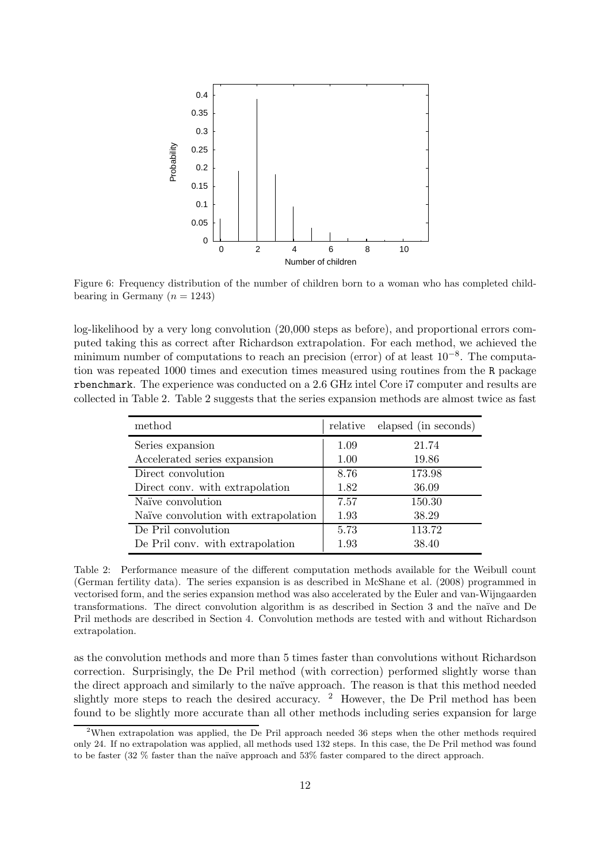

Figure 6: Frequency distribution of the number of children born to a woman who has completed childbearing in Germany  $(n = 1243)$ 

log-likelihood by a very long convolution (20,000 steps as before), and proportional errors computed taking this as correct after Richardson extrapolation. For each method, we achieved the minimum number of computations to reach an precision (error) of at least 10<sup>-8</sup>. The computation was repeated 1000 times and execution times measured using routines from the R package rbenchmark. The experience was conducted on a 2.6 GHz intel Core i7 computer and results are collected in Table 2. Table 2 suggests that the series expansion methods are almost twice as fast

| method                               |      | relative elapsed (in seconds) |
|--------------------------------------|------|-------------------------------|
| Series expansion                     | 1.09 | 21.74                         |
| Accelerated series expansion         | 1.00 | 19.86                         |
| Direct convolution                   | 8.76 | 173.98                        |
| Direct conv. with extrapolation      | 1.82 | 36.09                         |
| Naïve convolution                    | 7.57 | 150.30                        |
| Naïve convolution with extrapolation | 1.93 | 38.29                         |
| De Pril convolution                  | 5.73 | 113.72                        |
| De Pril conv. with extrapolation     | 1.93 | 38.40                         |

Table 2: Performance measure of the different computation methods available for the Weibull count (German fertility data). The series expansion is as described in McShane et al. (2008) programmed in vectorised form, and the series expansion method was also accelerated by the Euler and van-Wijngaarden transformations. The direct convolution algorithm is as described in Section 3 and the naïve and De Pril methods are described in Section 4. Convolution methods are tested with and without Richardson extrapolation.

as the convolution methods and more than 5 times faster than convolutions without Richardson correction. Surprisingly, the De Pril method (with correction) performed slightly worse than the direct approach and similarly to the naïve approach. The reason is that this method needed slightly more steps to reach the desired accuracy.  $2$  However, the De Pril method has been found to be slightly more accurate than all other methods including series expansion for large

<sup>&</sup>lt;sup>2</sup>When extrapolation was applied, the De Pril approach needed 36 steps when the other methods required only 24. If no extrapolation was applied, all methods used 132 steps. In this case, the De Pril method was found to be faster (32 % faster than the naïve approach and 53% faster compared to the direct approach.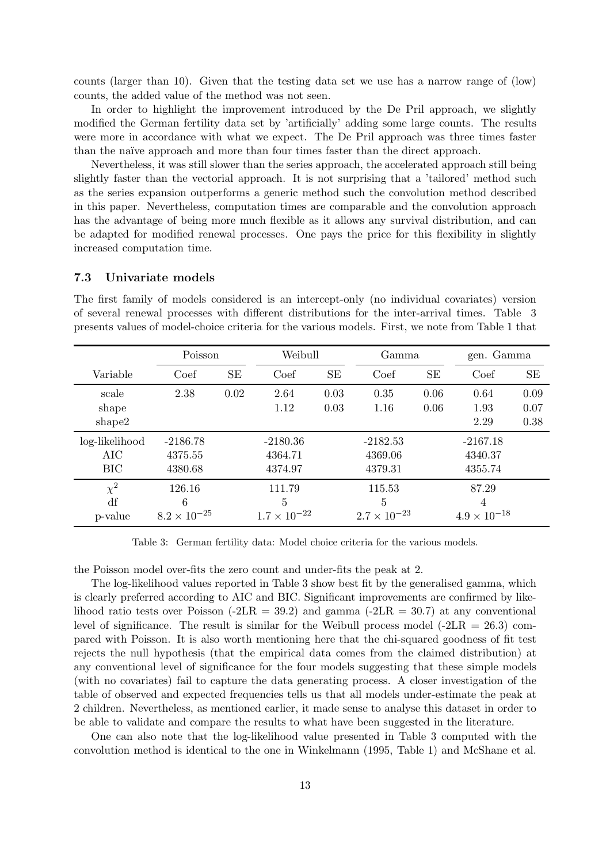counts (larger than 10). Given that the testing data set we use has a narrow range of (low) counts, the added value of the method was not seen.

In order to highlight the improvement introduced by the De Pril approach, we slightly modified the German fertility data set by 'artificially' adding some large counts. The results were more in accordance with what we expect. The De Pril approach was three times faster than the na¨ıve approach and more than four times faster than the direct approach.

Nevertheless, it was still slower than the series approach, the accelerated approach still being slightly faster than the vectorial approach. It is not surprising that a 'tailored' method such as the series expansion outperforms a generic method such the convolution method described in this paper. Nevertheless, computation times are comparable and the convolution approach has the advantage of being more much flexible as it allows any survival distribution, and can be adapted for modified renewal processes. One pays the price for this flexibility in slightly increased computation time.

#### 7.3 Univariate models

| presents values of model-choice criteria for the various models. First, we note from Table I that |                       |           |                       |           |                       |      |                       |      |  |
|---------------------------------------------------------------------------------------------------|-----------------------|-----------|-----------------------|-----------|-----------------------|------|-----------------------|------|--|
|                                                                                                   | Poisson               |           | Weibull               |           | Gamma                 |      | gen. Gamma            |      |  |
| Variable                                                                                          | Coef                  | <b>SE</b> | Coef                  | <b>SE</b> | Coef                  | SE   | Coef                  | SE   |  |
| scale                                                                                             | 2.38                  | 0.02      | 2.64                  | 0.03      | 0.35                  | 0.06 | 0.64                  | 0.09 |  |
| shape                                                                                             |                       |           | 1.12                  | 0.03      | 1.16                  | 0.06 | 1.93                  | 0.07 |  |
| shape2                                                                                            |                       |           |                       |           |                       |      | 2.29                  | 0.38 |  |
| log-likelihood                                                                                    | $-2186.78$            |           | $-2180.36$            |           | $-2182.53$            |      | $-2167.18$            |      |  |
| AIC                                                                                               | 4375.55               |           | 4364.71               |           | 4369.06               |      | 4340.37               |      |  |
| <b>BIC</b>                                                                                        | 4380.68               |           | 4374.97               |           | 4379.31               |      | 4355.74               |      |  |
| $\chi^2$                                                                                          | 126.16                |           | 111.79                |           | 115.53                |      | 87.29                 |      |  |
| df                                                                                                | 6                     |           | 5                     |           | 5                     |      | 4                     |      |  |
| p-value                                                                                           | $8.2 \times 10^{-25}$ |           | $1.7 \times 10^{-22}$ |           | $2.7 \times 10^{-23}$ |      | $4.9 \times 10^{-18}$ |      |  |

The first family of models considered is an intercept-only (no individual covariates) version of several renewal processes with different distributions for the inter-arrival times. Table 3 presents values of model-choice criteria for the various models. First, we note from Table 1 that

Table 3: German fertility data: Model choice criteria for the various models.

the Poisson model over-fits the zero count and under-fits the peak at 2.

The log-likelihood values reported in Table 3 show best fit by the generalised gamma, which is clearly preferred according to AIC and BIC. Significant improvements are confirmed by likelihood ratio tests over Poisson  $(-2LR = 39.2)$  and gamma  $(-2LR = 30.7)$  at any conventional level of significance. The result is similar for the Weibull process model  $(-2LR = 26.3)$  compared with Poisson. It is also worth mentioning here that the chi-squared goodness of fit test rejects the null hypothesis (that the empirical data comes from the claimed distribution) at any conventional level of significance for the four models suggesting that these simple models (with no covariates) fail to capture the data generating process. A closer investigation of the table of observed and expected frequencies tells us that all models under-estimate the peak at 2 children. Nevertheless, as mentioned earlier, it made sense to analyse this dataset in order to be able to validate and compare the results to what have been suggested in the literature.

One can also note that the log-likelihood value presented in Table 3 computed with the convolution method is identical to the one in Winkelmann (1995, Table 1) and McShane et al.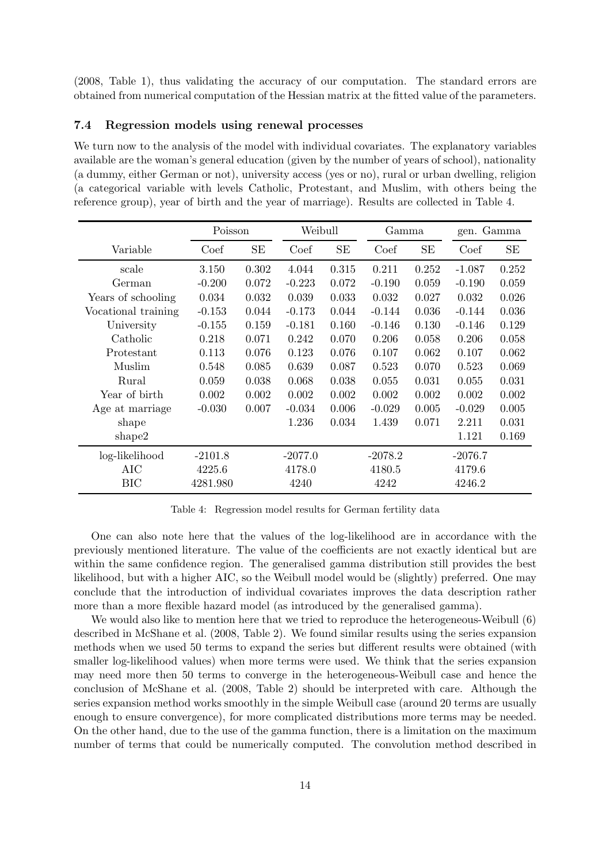(2008, Table 1), thus validating the accuracy of our computation. The standard errors are obtained from numerical computation of the Hessian matrix at the fitted value of the parameters.

#### 7.4 Regression models using renewal processes

We turn now to the analysis of the model with individual covariates. The explanatory variables available are the woman's general education (given by the number of years of school), nationality (a dummy, either German or not), university access (yes or no), rural or urban dwelling, religion (a categorical variable with levels Catholic, Protestant, and Muslim, with others being the reference group), year of birth and the year of marriage). Results are collected in Table 4.

|                     | Poisson   |       | Weibull   |       | Gamma     |           | gen. Gamma |       |
|---------------------|-----------|-------|-----------|-------|-----------|-----------|------------|-------|
| Variable            | Coef      | SЕ    | Coef      | SЕ    | Coef      | <b>SE</b> | Coef       | SE    |
| scale               | 3.150     | 0.302 | 4.044     | 0.315 | 0.211     | 0.252     | $-1.087$   | 0.252 |
| German              | $-0.200$  | 0.072 | $-0.223$  | 0.072 | $-0.190$  | 0.059     | $-0.190$   | 0.059 |
| Years of schooling  | 0.034     | 0.032 | 0.039     | 0.033 | 0.032     | 0.027     | 0.032      | 0.026 |
| Vocational training | $-0.153$  | 0.044 | $-0.173$  | 0.044 | $-0.144$  | 0.036     | $-0.144$   | 0.036 |
| University          | $-0.155$  | 0.159 | $-0.181$  | 0.160 | $-0.146$  | 0.130     | $-0.146$   | 0.129 |
| Catholic            | 0.218     | 0.071 | 0.242     | 0.070 | 0.206     | 0.058     | 0.206      | 0.058 |
| Protestant          | 0.113     | 0.076 | 0.123     | 0.076 | 0.107     | 0.062     | 0.107      | 0.062 |
| Muslim              | 0.548     | 0.085 | 0.639     | 0.087 | 0.523     | 0.070     | 0.523      | 0.069 |
| Rural               | 0.059     | 0.038 | 0.068     | 0.038 | 0.055     | 0.031     | 0.055      | 0.031 |
| Year of birth       | 0.002     | 0.002 | 0.002     | 0.002 | 0.002     | 0.002     | 0.002      | 0.002 |
| Age at marriage     | $-0.030$  | 0.007 | $-0.034$  | 0.006 | $-0.029$  | 0.005     | $-0.029$   | 0.005 |
| shape               |           |       | 1.236     | 0.034 | 1.439     | 0.071     | 2.211      | 0.031 |
| shape2              |           |       |           |       |           |           | 1.121      | 0.169 |
| log-likelihood      | $-2101.8$ |       | $-2077.0$ |       | $-2078.2$ |           | $-2076.7$  |       |
| AIC                 | 4225.6    |       | 4178.0    |       | 4180.5    |           | 4179.6     |       |
| BIC                 | 4281.980  |       | 4240      |       | 4242      |           | 4246.2     |       |

Table 4: Regression model results for German fertility data

One can also note here that the values of the log-likelihood are in accordance with the previously mentioned literature. The value of the coefficients are not exactly identical but are within the same confidence region. The generalised gamma distribution still provides the best likelihood, but with a higher AIC, so the Weibull model would be (slightly) preferred. One may conclude that the introduction of individual covariates improves the data description rather more than a more flexible hazard model (as introduced by the generalised gamma).

We would also like to mention here that we tried to reproduce the heterogeneous-Weibull (6) described in McShane et al. (2008, Table 2). We found similar results using the series expansion methods when we used 50 terms to expand the series but different results were obtained (with smaller log-likelihood values) when more terms were used. We think that the series expansion may need more then 50 terms to converge in the heterogeneous-Weibull case and hence the conclusion of McShane et al. (2008, Table 2) should be interpreted with care. Although the series expansion method works smoothly in the simple Weibull case (around 20 terms are usually enough to ensure convergence), for more complicated distributions more terms may be needed. On the other hand, due to the use of the gamma function, there is a limitation on the maximum number of terms that could be numerically computed. The convolution method described in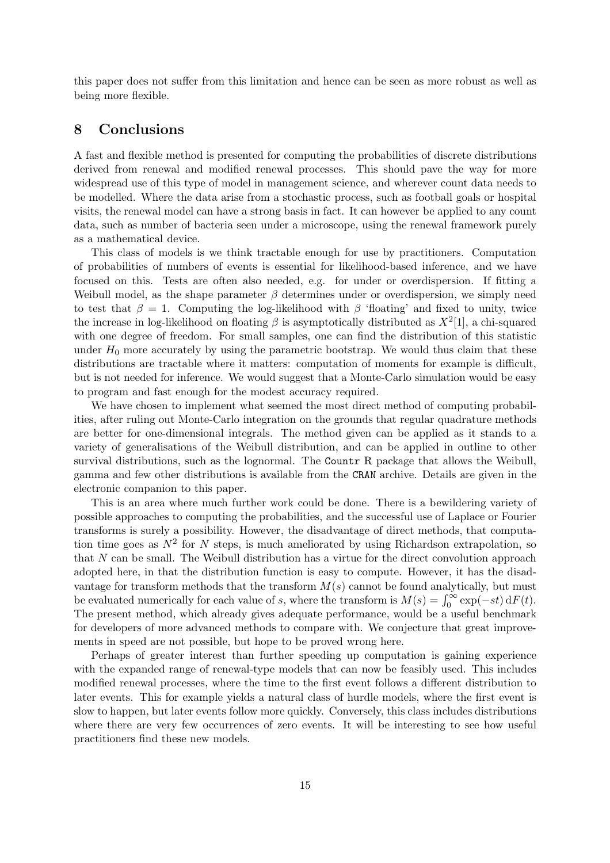this paper does not suffer from this limitation and hence can be seen as more robust as well as being more flexible.

# 8 Conclusions

A fast and flexible method is presented for computing the probabilities of discrete distributions derived from renewal and modified renewal processes. This should pave the way for more widespread use of this type of model in management science, and wherever count data needs to be modelled. Where the data arise from a stochastic process, such as football goals or hospital visits, the renewal model can have a strong basis in fact. It can however be applied to any count data, such as number of bacteria seen under a microscope, using the renewal framework purely as a mathematical device.

This class of models is we think tractable enough for use by practitioners. Computation of probabilities of numbers of events is essential for likelihood-based inference, and we have focused on this. Tests are often also needed, e.g. for under or overdispersion. If fitting a Weibull model, as the shape parameter  $\beta$  determines under or overdispersion, we simply need to test that  $\beta = 1$ . Computing the log-likelihood with  $\beta$  'floating' and fixed to unity, twice the increase in log-likelihood on floating  $\beta$  is asymptotically distributed as  $X^2[1]$ , a chi-squared with one degree of freedom. For small samples, one can find the distribution of this statistic under  $H_0$  more accurately by using the parametric bootstrap. We would thus claim that these distributions are tractable where it matters: computation of moments for example is difficult, but is not needed for inference. We would suggest that a Monte-Carlo simulation would be easy to program and fast enough for the modest accuracy required.

We have chosen to implement what seemed the most direct method of computing probabilities, after ruling out Monte-Carlo integration on the grounds that regular quadrature methods are better for one-dimensional integrals. The method given can be applied as it stands to a variety of generalisations of the Weibull distribution, and can be applied in outline to other survival distributions, such as the lognormal. The Countr R package that allows the Weibull, gamma and few other distributions is available from the CRAN archive. Details are given in the electronic companion to this paper.

This is an area where much further work could be done. There is a bewildering variety of possible approaches to computing the probabilities, and the successful use of Laplace or Fourier transforms is surely a possibility. However, the disadvantage of direct methods, that computation time goes as  $N^2$  for N steps, is much ameliorated by using Richardson extrapolation, so that  $N$  can be small. The Weibull distribution has a virtue for the direct convolution approach adopted here, in that the distribution function is easy to compute. However, it has the disadvantage for transform methods that the transform  $M(s)$  cannot be found analytically, but must be evaluated numerically for each value of s, where the transform is  $M(s) = \int_0^\infty \exp(-st) dF(t)$ . The present method, which already gives adequate performance, would be a useful benchmark for developers of more advanced methods to compare with. We conjecture that great improvements in speed are not possible, but hope to be proved wrong here.

Perhaps of greater interest than further speeding up computation is gaining experience with the expanded range of renewal-type models that can now be feasibly used. This includes modified renewal processes, where the time to the first event follows a different distribution to later events. This for example yields a natural class of hurdle models, where the first event is slow to happen, but later events follow more quickly. Conversely, this class includes distributions where there are very few occurrences of zero events. It will be interesting to see how useful practitioners find these new models.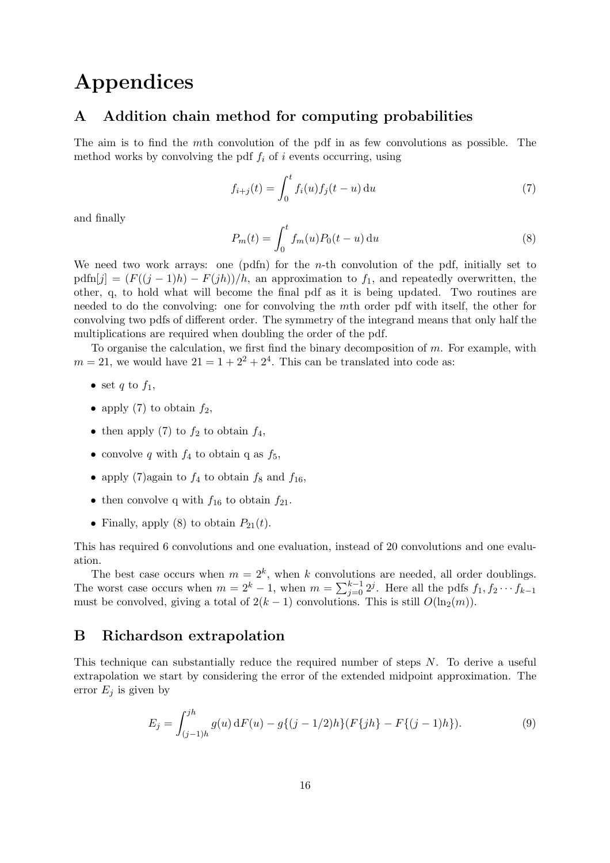# Appendices

## A Addition chain method for computing probabilities

The aim is to find the mth convolution of the pdf in as few convolutions as possible. The method works by convolving the pdf  $f_i$  of i events occurring, using

$$
f_{i+j}(t) = \int_0^t f_i(u) f_j(t-u) \, \mathrm{d}u \tag{7}
$$

and finally

$$
P_m(t) = \int_0^t f_m(u) P_0(t - u) \, \mathrm{d}u \tag{8}
$$

We need two work arrays: one (pdfn) for the *n*-th convolution of the pdf, initially set to  $pdfn[j] = (F((j-1)h) - F(jh))/h$ , an approximation to  $f_1$ , and repeatedly overwritten, the other, q, to hold what will become the final pdf as it is being updated. Two routines are needed to do the convolving: one for convolving the mth order pdf with itself, the other for convolving two pdfs of different order. The symmetry of the integrand means that only half the multiplications are required when doubling the order of the pdf.

To organise the calculation, we first find the binary decomposition of  $m$ . For example, with  $m = 21$ , we would have  $21 = 1 + 2^2 + 2^4$ . This can be translated into code as:

- set q to  $f_1$ ,
- apply (7) to obtain  $f_2$ ,
- then apply (7) to  $f_2$  to obtain  $f_4$ ,
- convolve q with  $f_4$  to obtain q as  $f_5$ ,
- apply (7)again to  $f_4$  to obtain  $f_8$  and  $f_{16}$ ,
- then convolve q with  $f_{16}$  to obtain  $f_{21}$ .
- Finally, apply (8) to obtain  $P_{21}(t)$ .

This has required 6 convolutions and one evaluation, instead of 20 convolutions and one evaluation.

The best case occurs when  $m = 2<sup>k</sup>$ , when k convolutions are needed, all order doublings. The worst case occurs when  $m = 2<sup>k</sup> - 1$ , when  $m = \sum_{j=0}^{k-1} 2<sup>j</sup>$ . Here all the pdfs  $f_1, f_2 \cdots f_{k-1}$ must be convolved, giving a total of  $2(k-1)$  convolutions. This is still  $O(\ln_2(m))$ .

# B Richardson extrapolation

This technique can substantially reduce the required number of steps N. To derive a useful extrapolation we start by considering the error of the extended midpoint approximation. The error  $E_j$  is given by

$$
E_j = \int_{(j-1)h}^{jh} g(u) dF(u) - g\{(j-1/2)h\}(F\{jh\} - F\{(j-1)h\}).
$$
\n(9)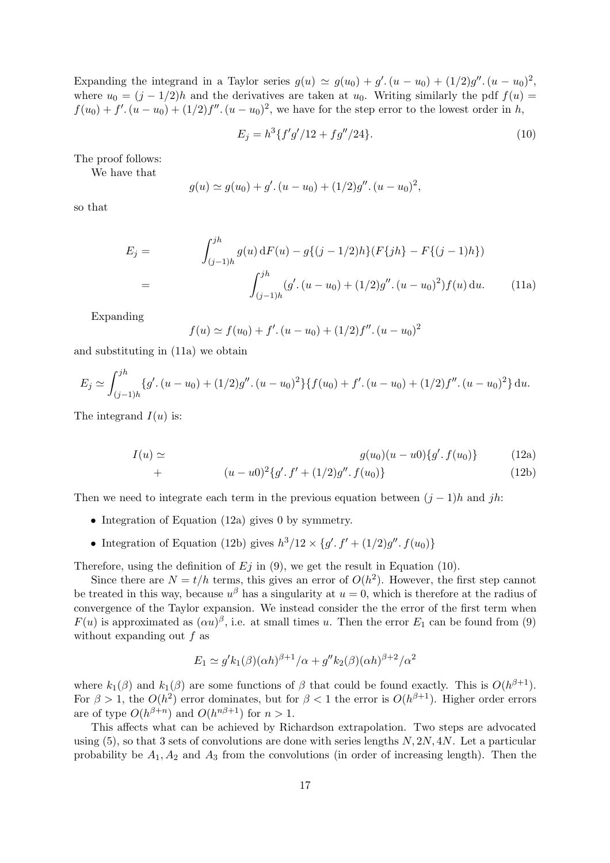Expanding the integrand in a Taylor series  $g(u) \simeq g(u_0) + g'$ .  $(u - u_0) + (1/2)g''$ .  $(u - u_0)^2$ , where  $u_0 = (j - 1/2)h$  and the derivatives are taken at  $u_0$ . Writing similarly the pdf  $f(u)$  $f(u_0) + f'(u - u_0) + (1/2)f''(u - u_0)^2$ , we have for the step error to the lowest order in h,

$$
E_j = h^3 \{ f' g'/12 + f g''/24 \}.
$$
\n(10)

The proof follows:

We have that

$$
g(u) \simeq g(u_0) + g'. (u - u_0) + (1/2)g''. (u - u_0)^2,
$$

so that

$$
E_j = \int_{(j-1)h}^{jh} g(u) dF(u) - g\{(j-1/2)h\}(F\{jh\} - F\{(j-1)h\})
$$
  
= 
$$
\int_{(j-1)h}^{jh} (g'(u - u_0) + (1/2)g''(u - u_0)^2) f(u) du.
$$
 (11a)

Expanding

$$
f(u) \simeq f(u_0) + f'(u - u_0) + (1/2)f''(u - u_0)^2
$$

and substituting in (11a) we obtain

$$
E_j \simeq \int_{(j-1)h}^{jh} \{g' \cdot (u - u_0) + (1/2)g'' \cdot (u - u_0)^2\} \{f(u_0) + f' \cdot (u - u_0) + (1/2)f'' \cdot (u - u_0)^2\} du.
$$

The integrand  $I(u)$  is:

$$
I(u) \simeq \qquad g(u_0)(u - u_0) \{g', f(u_0)\} \qquad (12a)
$$

+ 
$$
(u - u0)^2 \{g' \cdot f' + (1/2)g'' \cdot f(u_0)\}\
$$
 (12b)

Then we need to integrate each term in the previous equation between  $(j-1)h$  and jh:

- Integration of Equation (12a) gives 0 by symmetry.
- Integration of Equation (12b) gives  $h^3/12 \times \{g'. f' + (1/2)g''. f(u_0)\}\$

Therefore, using the definition of  $E_j$  in (9), we get the result in Equation (10).

Since there are  $N = t/h$  terms, this gives an error of  $O(h^2)$ . However, the first step cannot be treated in this way, because  $u^{\beta}$  has a singularity at  $u = 0$ , which is therefore at the radius of convergence of the Taylor expansion. We instead consider the the error of the first term when  $F(u)$  is approximated as  $(\alpha u)^{\beta}$ , i.e. at small times u. Then the error  $E_1$  can be found from (9) without expanding out f as

$$
E_1 \simeq g' k_1(\beta)(\alpha h)^{\beta+1}/\alpha + g'' k_2(\beta)(\alpha h)^{\beta+2}/\alpha^2
$$

where  $k_1(\beta)$  and  $k_1(\beta)$  are some functions of  $\beta$  that could be found exactly. This is  $O(h^{\beta+1})$ . For  $\beta > 1$ , the  $O(h^2)$  error dominates, but for  $\beta < 1$  the error is  $O(h^{\beta+1})$ . Higher order errors are of type  $O(h^{\beta+n})$  and  $O(h^{n\beta+1})$  for  $n>1$ .

This affects what can be achieved by Richardson extrapolation. Two steps are advocated using  $(5)$ , so that 3 sets of convolutions are done with series lengths  $N$ ,  $2N$ ,  $4N$ . Let a particular probability be  $A_1, A_2$  and  $A_3$  from the convolutions (in order of increasing length). Then the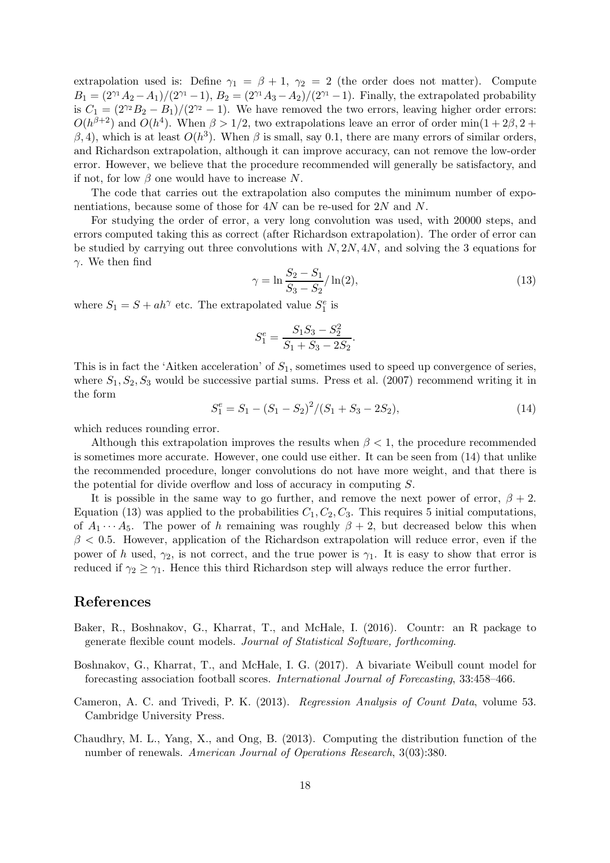extrapolation used is: Define  $\gamma_1 = \beta + 1$ ,  $\gamma_2 = 2$  (the order does not matter). Compute  $B_1 = (2^{\gamma_1}A_2 - A_1)/(2^{\gamma_1} - 1), B_2 = (2^{\gamma_1}A_3 - A_2)/(2^{\gamma_1} - 1).$  Finally, the extrapolated probability is  $C_1 = (2^{\gamma_2}B_2 - B_1)/(2^{\gamma_2} - 1)$ . We have removed the two errors, leaving higher order errors:  $O(h^{\beta+2})$  and  $O(h^4)$ . When  $\beta > 1/2$ , two extrapolations leave an error of order min $(1+2\beta, 2+$  $(\beta, 4)$ , which is at least  $O(h^3)$ . When  $\beta$  is small, say 0.1, there are many errors of similar orders, and Richardson extrapolation, although it can improve accuracy, can not remove the low-order error. However, we believe that the procedure recommended will generally be satisfactory, and if not, for low  $\beta$  one would have to increase N.

The code that carries out the extrapolation also computes the minimum number of exponentiations, because some of those for 4N can be re-used for 2N and N.

For studying the order of error, a very long convolution was used, with 20000 steps, and errors computed taking this as correct (after Richardson extrapolation). The order of error can be studied by carrying out three convolutions with  $N$ ,  $2N$ ,  $4N$ , and solving the 3 equations for γ. We then find

$$
\gamma = \ln \frac{S_2 - S_1}{S_3 - S_2} / \ln(2),\tag{13}
$$

where  $S_1 = S + ah^{\gamma}$  etc. The extrapolated value  $S_1^e$  is

$$
S_1^e = \frac{S_1 S_3 - S_2^2}{S_1 + S_3 - 2S_2}.
$$

This is in fact the 'Aitken acceleration' of  $S_1$ , sometimes used to speed up convergence of series, where  $S_1, S_2, S_3$  would be successive partial sums. Press et al. (2007) recommend writing it in the form

$$
S_1^e = S_1 - (S_1 - S_2)^2 / (S_1 + S_3 - 2S_2),\tag{14}
$$

which reduces rounding error.

Although this extrapolation improves the results when  $\beta < 1$ , the procedure recommended is sometimes more accurate. However, one could use either. It can be seen from (14) that unlike the recommended procedure, longer convolutions do not have more weight, and that there is the potential for divide overflow and loss of accuracy in computing S.

It is possible in the same way to go further, and remove the next power of error,  $\beta + 2$ . Equation (13) was applied to the probabilities  $C_1, C_2, C_3$ . This requires 5 initial computations, of  $A_1 \cdots A_5$ . The power of h remaining was roughly  $\beta + 2$ , but decreased below this when  $\beta$  < 0.5. However, application of the Richardson extrapolation will reduce error, even if the power of h used,  $\gamma_2$ , is not correct, and the true power is  $\gamma_1$ . It is easy to show that error is reduced if  $\gamma_2 \geq \gamma_1$ . Hence this third Richardson step will always reduce the error further.

#### References

- Baker, R., Boshnakov, G., Kharrat, T., and McHale, I. (2016). Countr: an R package to generate flexible count models. *Journal of Statistical Software, forthcoming*.
- Boshnakov, G., Kharrat, T., and McHale, I. G. (2017). A bivariate Weibull count model for forecasting association football scores. *International Journal of Forecasting*, 33:458–466.
- Cameron, A. C. and Trivedi, P. K. (2013). *Regression Analysis of Count Data*, volume 53. Cambridge University Press.
- Chaudhry, M. L., Yang, X., and Ong, B. (2013). Computing the distribution function of the number of renewals. *American Journal of Operations Research*, 3(03):380.